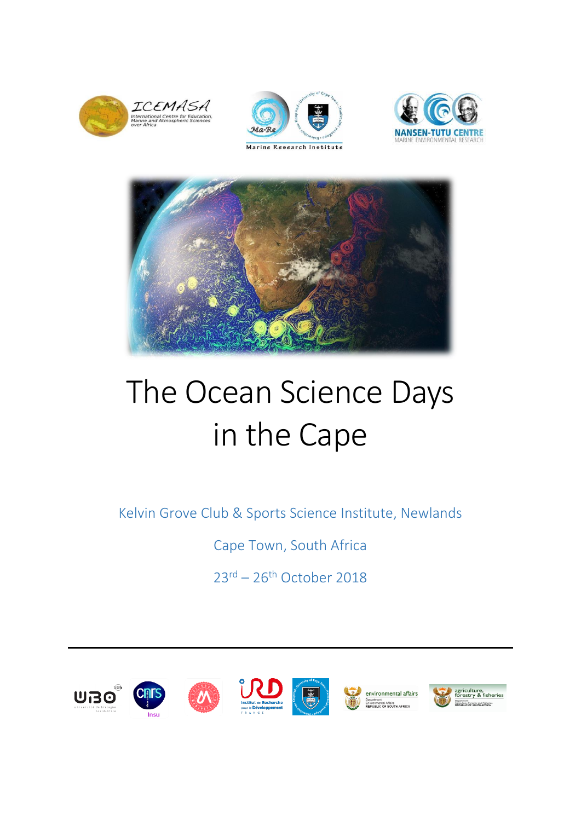







# The Ocean Science Days in the Cape

Kelvin Grove Club & Sports Science Institute, Newlands

Cape Town, South Africa

23rd – 26th October 2018

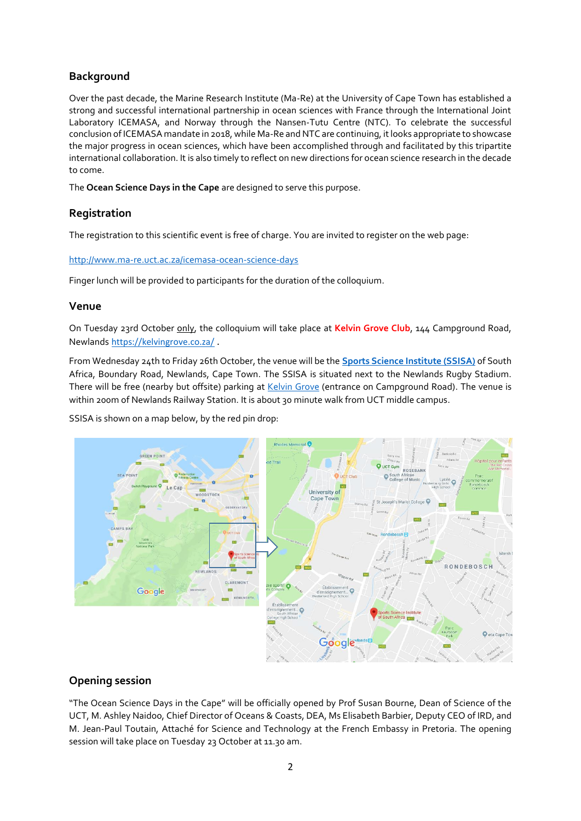### **Background**

Over the past decade, the Marine Research Institute (Ma-Re) at the University of Cape Town has established a strong and successful international partnership in ocean sciences with France through the International Joint Laboratory ICEMASA, and Norway through the Nansen-Tutu Centre (NTC). To celebrate the successful conclusion of ICEMASA mandate in 2018, while Ma-Re and NTC are continuing, it looks appropriate to showcase the major progress in ocean sciences, which have been accomplished through and facilitated by this tripartite international collaboration. It is also timely to reflect on new directions for ocean science research in the decade to come.

The **Ocean Science Days in the Cape** are designed to serve this purpose.

#### **Registration**

The registration to this scientific event is free of charge. You are invited to register on the web page:

#### <http://www.ma-re.uct.ac.za/icemasa-ocean-science-days>

Finger lunch will be provided to participants for the duration of the colloquium.

#### **Venue**

On Tuesday 23rd October only, the colloquium will take place at **Kelvin Grove Club**, 144 Campground Road, Newlands [https://kelvingrove.co.za/](https://protect-za.mimecast.com/s/QoxnCzm4GXCOYLPwt49bD7) .

From Wednesday 24th to Friday 26th October, the venue will be the **[Sports Science Institute \(SSISA\)](https://goo.gl/maps/1HcN5PKmEdz)** of South Africa, Boundary Road, Newlands, Cape Town. The SSISA is situated next to the Newlands Rugby Stadium. There will be free (nearby but offsite) parking at *Kelvin Grove* (entrance on Campground Road). The venue is within 200m of Newlands Railway Station. It is about 30 minute walk from UCT middle campus.

SSISA is shown on a map below, by the red pin drop:



#### **Opening session**

"The Ocean Science Days in the Cape" will be officially opened by Prof Susan Bourne, Dean of Science of the UCT, M. Ashley Naidoo, Chief Director of Oceans & Coasts, DEA, Ms Elisabeth Barbier, Deputy CEO of IRD, and M. Jean-Paul Toutain, Attaché for Science and Technology at the French Embassy in Pretoria. The opening session will take place on Tuesday 23 October at 11.30 am.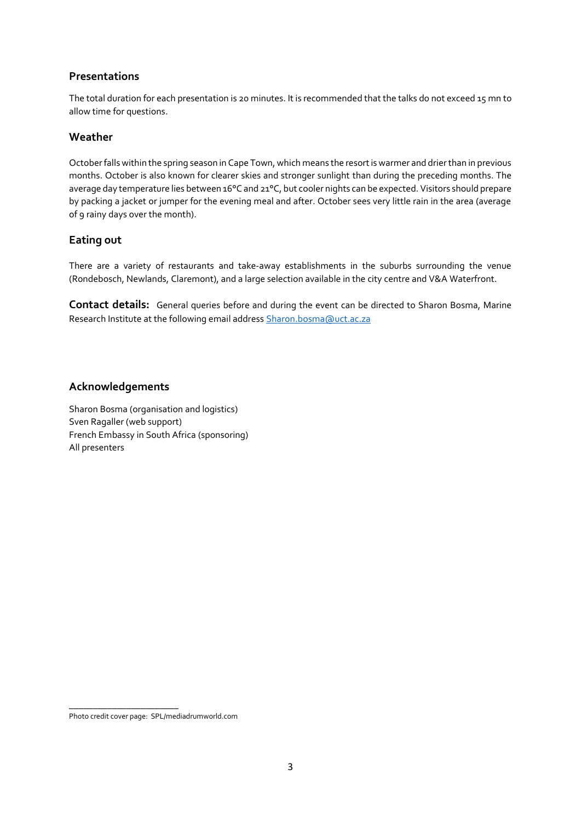### **Presentations**

The total duration for each presentation is 20 minutes. It is recommended that the talks do not exceed 15 mn to allow time for questions.

#### **Weather**

October falls within the spring season in Cape Town, which means the resort is warmer and drier than in previous months. October is also known for clearer skies and stronger sunlight than during the preceding months. The average day temperature lies between 16°C and 21°C, but cooler nights can be expected. Visitors should prepare by packing a jacket or jumper for the evening meal and after. October sees very little rain in the area (average of 9 rainy days over the month).

#### **Eating out**

There are a variety of restaurants and take-away establishments in the suburbs surrounding the venue (Rondebosch, Newlands, Claremont), and a large selection available in the city centre and V&A Waterfront.

**Contact details:** General queries before and during the event can be directed to Sharon Bosma, Marine Research Institute at the following email address [Sharon.bosma@uct.ac.za](mailto:Sharon.bosma@uct.ac.za)

#### **Acknowledgements**

Sharon Bosma (organisation and logistics) Sven Ragaller (web support) French Embassy in South Africa (sponsoring) All presenters

\_\_\_\_\_\_\_\_\_\_\_\_\_\_\_\_\_\_\_\_\_\_\_

Photo credit cover page: SPL/mediadrumworld.com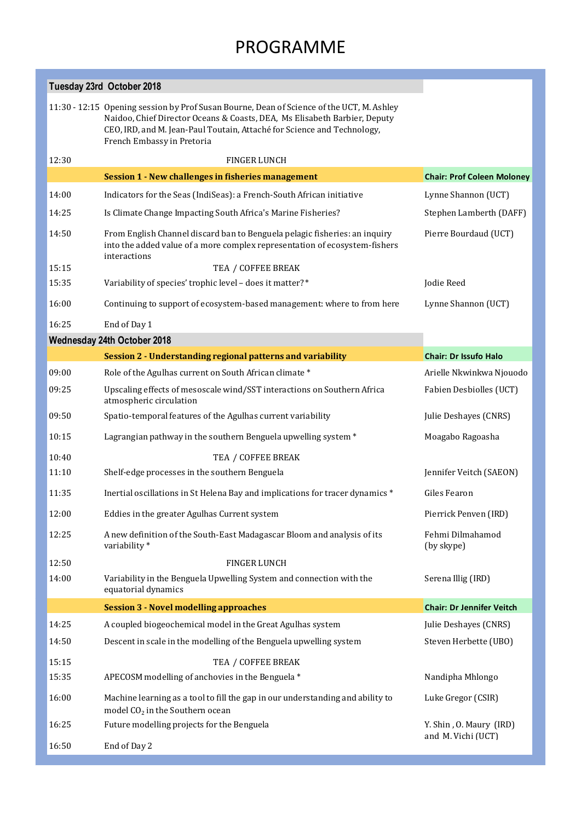# PROGRAMME

## **Tuesday 23rd October 2018**

| 11:30 - 12:15 Opening session by Prof Susan Bourne, Dean of Science of the UCT, M. Ashley |
|-------------------------------------------------------------------------------------------|
| Naidoo, Chief Director Oceans & Coasts, DEA, Ms Elisabeth Barbier, Deputy                 |
| CEO. IRD. and M. Jean-Paul Toutain. Attaché for Science and Technology.                   |
| French Embassy in Pretoria                                                                |

| 12:30 | <b>FINGER LUNCH</b>                                                                                                                                                      |                                   |
|-------|--------------------------------------------------------------------------------------------------------------------------------------------------------------------------|-----------------------------------|
|       | Session 1 - New challenges in fisheries management                                                                                                                       | <b>Chair: Prof Coleen Moloney</b> |
| 14:00 | Indicators for the Seas (IndiSeas): a French-South African initiative                                                                                                    | Lynne Shannon (UCT)               |
| 14:25 | Is Climate Change Impacting South Africa's Marine Fisheries?                                                                                                             | Stephen Lamberth (DAFF)           |
| 14:50 | From English Channel discard ban to Benguela pelagic fisheries: an inquiry<br>into the added value of a more complex representation of ecosystem-fishers<br>interactions | Pierre Bourdaud (UCT)             |
| 15:15 | TEA / COFFEE BREAK                                                                                                                                                       |                                   |
| 15:35 | Variability of species' trophic level - does it matter?*                                                                                                                 | Jodie Reed                        |
| 16:00 | Continuing to support of ecosystem-based management: where to from here                                                                                                  | Lynne Shannon (UCT)               |
| 16:25 | End of Day 1                                                                                                                                                             |                                   |
|       | Wednesday 24th October 2018                                                                                                                                              |                                   |
|       | Session 2 - Understanding regional patterns and variability                                                                                                              | <b>Chair: Dr Issufo Halo</b>      |
| 09:00 | Role of the Agulhas current on South African climate *                                                                                                                   | Arielle Nkwinkwa Njouodo          |
| 09:25 | Upscaling effects of mesoscale wind/SST interactions on Southern Africa<br>atmospheric circulation                                                                       | Fabien Desbiolles (UCT)           |
| 09:50 | Spatio-temporal features of the Agulhas current variability                                                                                                              | Julie Deshayes (CNRS)             |
| 10:15 | Lagrangian pathway in the southern Benguela upwelling system *                                                                                                           | Moagabo Ragoasha                  |
| 10:40 | TEA / COFFEE BREAK                                                                                                                                                       |                                   |
| 11:10 | Shelf-edge processes in the southern Benguela                                                                                                                            | Jennifer Veitch (SAEON)           |
| 11:35 | Inertial oscillations in St Helena Bay and implications for tracer dynamics *                                                                                            | Giles Fearon                      |
| 12:00 | Eddies in the greater Agulhas Current system                                                                                                                             | Pierrick Penven (IRD)             |
| 12:25 | A new definition of the South-East Madagascar Bloom and analysis of its<br>variability*                                                                                  | Fehmi Dilmahamod<br>(by skype)    |
| 12:50 | <b>FINGER LUNCH</b>                                                                                                                                                      |                                   |
| 14:00 | Variability in the Benguela Upwelling System and connection with the<br>equatorial dynamics                                                                              | Serena Illig (IRD)                |
|       | <b>Session 3 - Novel modelling approaches</b>                                                                                                                            | <b>Chair: Dr Jennifer Veitch</b>  |
| 14:25 | A coupled biogeochemical model in the Great Agulhas system                                                                                                               | Julie Deshayes (CNRS)             |
| 14:50 | Descent in scale in the modelling of the Benguela upwelling system                                                                                                       | Steven Herbette (UBO)             |
| 15:15 | TEA / COFFEE BREAK                                                                                                                                                       |                                   |
| 15:35 | APECOSM modelling of anchovies in the Benguela *                                                                                                                         | Nandipha Mhlongo                  |
| 16:00 | Machine learning as a tool to fill the gap in our understanding and ability to<br>model $CO2$ in the Southern ocean                                                      | Luke Gregor (CSIR)                |
| 16:25 | Future modelling projects for the Benguela                                                                                                                               | Y. Shin, O. Maury (IRD)           |
| 16:50 | End of Day 2                                                                                                                                                             | and M. Vichi (UCT)                |